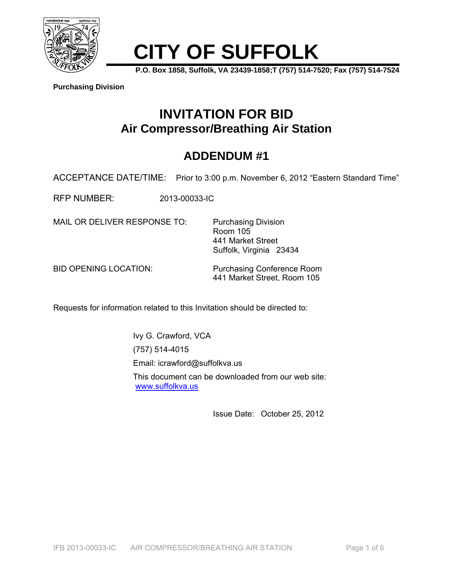

# **CITY OF SUFFOLK**

**P.O. Box 1858, Suffolk, VA 23439-1858;T (757) 514-7520; Fax (757) 514-7524** 

**Purchasing Division**

# **INVITATION FOR BID Air Compressor/Breathing Air Station**

## **ADDENDUM #1**

ACCEPTANCE DATE/TIME: Prior to 3:00 p.m. November 6, 2012 "Eastern Standard Time"

RFP NUMBER: 2013-00033-IC

MAIL OR DELIVER RESPONSE TO: Purchasing Division

 Room 105 441 Market Street Suffolk, Virginia 23434

BID OPENING LOCATION: Purchasing Conference Room 441 Market Street, Room 105

Requests for information related to this Invitation should be directed to:

Ivy G. Crawford, VCA (757) 514-4015

Email: icrawford@suffolkva.us

 This document can be downloaded from our web site: www.suffolkva.us

Issue Date: October 25, 2012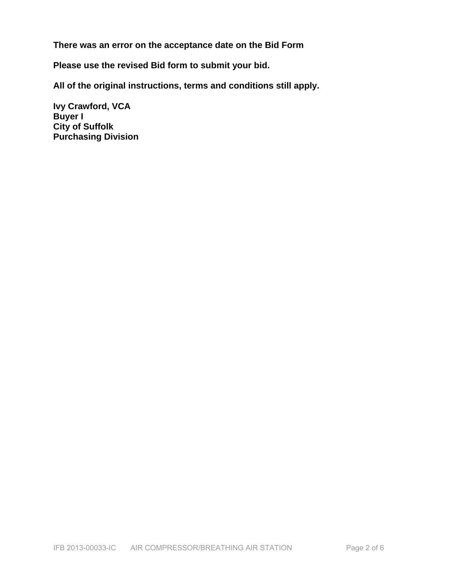**There was an error on the acceptance date on the Bid Form** 

**Please use the revised Bid form to submit your bid.** 

**All of the original instructions, terms and conditions still apply.** 

**Ivy Crawford, VCA Buyer I City of Suffolk Purchasing Division**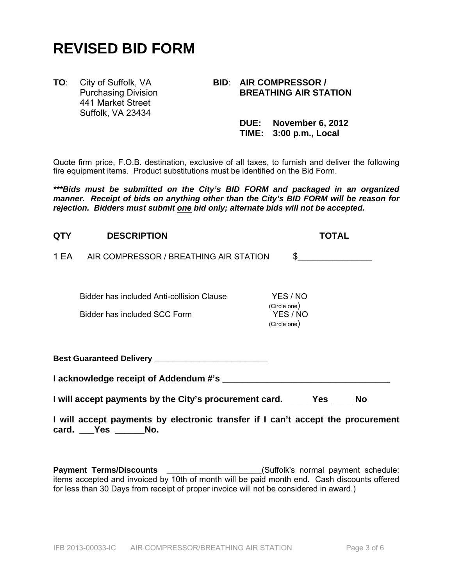# **REVISED BID FORM**

441 Market Street Suffolk, VA 23434

### **TO**: City of Suffolk, VA **BID**: **AIR COMPRESSOR / Purchasing Division BREATHING AIR STATION**

 **DUE: November 6, 2012 TIME: 3:00 p.m., Local**

Quote firm price, F.O.B. destination, exclusive of all taxes, to furnish and deliver the following fire equipment items. Product substitutions must be identified on the Bid Form.

*\*\*\*Bids must be submitted on the City's BID FORM and packaged in an organized manner. Receipt of bids on anything other than the City's BID FORM will be reason for rejection. Bidders must submit one bid only; alternate bids will not be accepted.* 

| <b>QTY</b> | <b>DESCRIPTION</b>                                                              | TOTAL                                                |
|------------|---------------------------------------------------------------------------------|------------------------------------------------------|
| 1 EA       | AIR COMPRESSOR / BREATHING AIR STATION                                          | $\sim$                                               |
|            | Bidder has included Anti-collision Clause<br>Bidder has included SCC Form       | YES / NO<br>(Circle one)<br>YES / NO<br>(Circle one) |
|            |                                                                                 |                                                      |
|            |                                                                                 |                                                      |
|            | I will accept payments by the City's procurement card. ______Yes _____ No       |                                                      |
|            | I will accept payments by electronic transfer if I can't accept the procurement |                                                      |

**card. \_\_\_Yes \_\_\_\_\_\_No.** 

**Payment Terms/Discounts** \_\_\_\_\_\_\_\_\_\_\_\_\_\_\_\_\_\_\_\_\_(Suffolk's normal payment schedule: items accepted and invoiced by 10th of month will be paid month end. Cash discounts offered for less than 30 Days from receipt of proper invoice will not be considered in award.)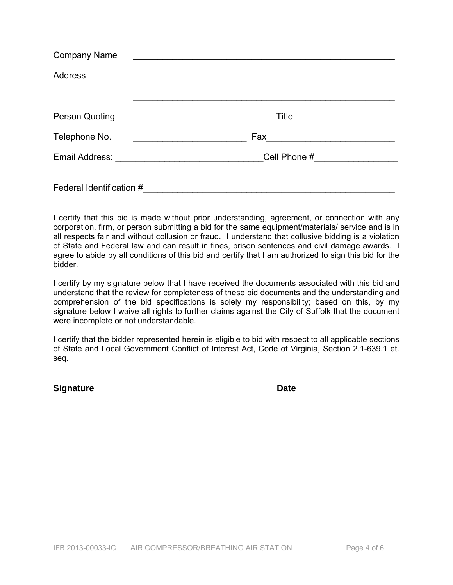| <b>Company Name</b>      | <u> 1989 - Andrea Andrew Maria (h. 1989).</u>                                                                         |
|--------------------------|-----------------------------------------------------------------------------------------------------------------------|
| <b>Address</b>           |                                                                                                                       |
|                          |                                                                                                                       |
| <b>Person Quoting</b>    | <u> 1989 - Johann Stein, mars and de Branch and de Branch and de Branch and de Branch and de Branch and de Branch</u> |
| Telephone No.            |                                                                                                                       |
|                          |                                                                                                                       |
| Federal Identification # |                                                                                                                       |

I certify that this bid is made without prior understanding, agreement, or connection with any corporation, firm, or person submitting a bid for the same equipment/materials/ service and is in all respects fair and without collusion or fraud. I understand that collusive bidding is a violation of State and Federal law and can result in fines, prison sentences and civil damage awards. I agree to abide by all conditions of this bid and certify that I am authorized to sign this bid for the bidder.

I certify by my signature below that I have received the documents associated with this bid and understand that the review for completeness of these bid documents and the understanding and comprehension of the bid specifications is solely my responsibility; based on this, by my signature below I waive all rights to further claims against the City of Suffolk that the document were incomplete or not understandable.

I certify that the bidder represented herein is eligible to bid with respect to all applicable sections of State and Local Government Conflict of Interest Act, Code of Virginia, Section 2.1-639.1 et. seq.

**Signature \_\_\_\_\_\_\_\_\_\_\_\_\_\_\_\_\_\_\_\_\_\_\_\_\_\_\_\_\_\_\_\_\_\_\_ Date \_\_\_\_\_\_\_\_\_\_\_\_\_\_\_\_**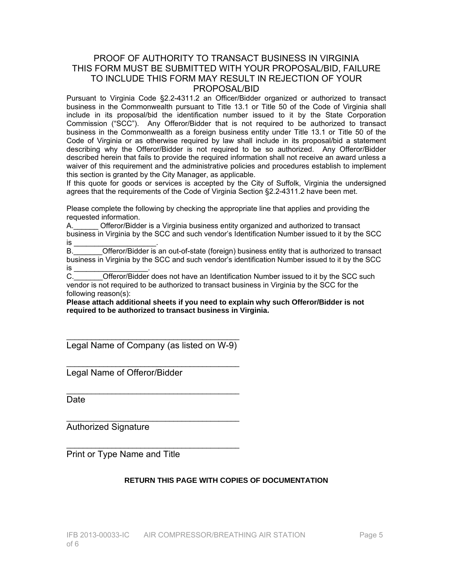### PROOF OF AUTHORITY TO TRANSACT BUSINESS IN VIRGINIA THIS FORM MUST BE SUBMITTED WITH YOUR PROPOSAL/BID, FAILURE TO INCLUDE THIS FORM MAY RESULT IN REJECTION OF YOUR PROPOSAL/BID

Pursuant to Virginia Code §2.2-4311.2 an Officer/Bidder organized or authorized to transact business in the Commonwealth pursuant to Title 13.1 or Title 50 of the Code of Virginia shall include in its proposal/bid the identification number issued to it by the State Corporation Commission ("SCC"). Any Offeror/Bidder that is not required to be authorized to transact business in the Commonwealth as a foreign business entity under Title 13.1 or Title 50 of the Code of Virginia or as otherwise required by law shall include in its proposal/bid a statement describing why the Offeror/Bidder is not required to be so authorized. Any Offeror/Bidder described herein that fails to provide the required information shall not receive an award unless a waiver of this requirement and the administrative policies and procedures establish to implement this section is granted by the City Manager, as applicable.

If this quote for goods or services is accepted by the City of Suffolk, Virginia the undersigned agrees that the requirements of the Code of Virginia Section §2.2-4311.2 have been met.

Please complete the following by checking the appropriate line that applies and providing the requested information.

A.\_\_\_\_\_\_ Offeror/Bidder is a Virginia business entity organized and authorized to transact business in Virginia by the SCC and such vendor's Identification Number issued to it by the SCC is \_\_\_\_\_\_\_\_\_\_\_\_\_\_\_\_\_\_\_\_\_\_\_\_\_\_\_\_\_\_\_\_.

B.\_\_\_\_\_\_\_Offeror/Bidder is an out-of-state (foreign) business entity that is authorized to transact business in Virginia by the SCC and such vendor's identification Number issued to it by the SCC

 $\mathrm{is}$   $\frac{}{\mathrm{C}}$ . Offeror/Bidder does not have an Identification Number issued to it by the SCC such vendor is not required to be authorized to transact business in Virginia by the SCC for the following reason(s):

**Please attach additional sheets if you need to explain why such Offeror/Bidder is not required to be authorized to transact business in Virginia.** 

\_\_\_\_\_\_\_\_\_\_\_\_\_\_\_\_\_\_\_\_\_\_\_\_\_\_\_\_\_\_\_\_\_\_\_\_\_\_\_\_\_\_ Legal Name of Company (as listed on W-9)

\_\_\_\_\_\_\_\_\_\_\_\_\_\_\_\_\_\_\_\_\_\_\_\_\_\_\_\_\_\_\_\_\_\_\_\_\_\_\_\_\_\_

 $\overline{\phantom{a}}$  , and the contract of the contract of the contract of the contract of the contract of the contract of the contract of the contract of the contract of the contract of the contract of the contract of the contrac

 $\overline{\phantom{a}}$  , and the contract of the contract of the contract of the contract of the contract of the contract of the contract of the contract of the contract of the contract of the contract of the contract of the contrac

 $\overline{\phantom{a}}$  , and the contract of the contract of the contract of the contract of the contract of the contract of the contract of the contract of the contract of the contract of the contract of the contract of the contrac

Legal Name of Offeror/Bidder

**Date** 

Authorized Signature

Print or Type Name and Title

### **RETURN THIS PAGE WITH COPIES OF DOCUMENTATION**